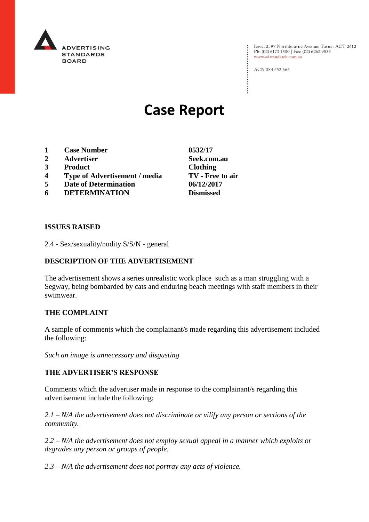

Level 2, 97 Northbourne Avenue, Turner ACT 2612<br>Ph: (02) 6173 1500 | Fax: (02) 6262 9833 www.adstandards.com.au

ACN 084 452 666

# **Case Report**

- **1 Case Number 0532/17**
- **2 Advertiser Seek.com.au**
- **3 Product Clothing**
- **4 Type of Advertisement / media TV - Free to air**
- **5 Date of Determination 06/12/2017**
- **6 DETERMINATION Dismissed**

**ISSUES RAISED**

2.4 - Sex/sexuality/nudity S/S/N - general

## **DESCRIPTION OF THE ADVERTISEMENT**

The advertisement shows a series unrealistic work place such as a man struggling with a Segway, being bombarded by cats and enduring beach meetings with staff members in their swimwear.

### **THE COMPLAINT**

A sample of comments which the complainant/s made regarding this advertisement included the following:

*Such an image is unnecessary and disgusting*

#### **THE ADVERTISER'S RESPONSE**

Comments which the advertiser made in response to the complainant/s regarding this advertisement include the following:

*2.1 – N/A the advertisement does not discriminate or vilify any person or sections of the community.*

*2.2 – N/A the advertisement does not employ sexual appeal in a manner which exploits or degrades any person or groups of people.*

*2.3 – N/A the advertisement does not portray any acts of violence.*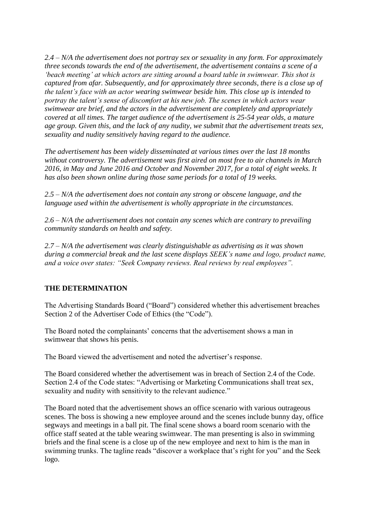*2.4 – N/A the advertisement does not portray sex or sexuality in any form. For approximately three seconds towards the end of the advertisement, the advertisement contains a scene of a 'beach meeting' at which actors are sitting around a board table in swimwear. This shot is captured from afar. Subsequently, and for approximately three seconds, there is a close up of the talent's face with an actor wearing swimwear beside him. This close up is intended to portray the talent's sense of discomfort at his new job. The scenes in which actors wear swimwear are brief, and the actors in the advertisement are completely and appropriately covered at all times. The target audience of the advertisement is 25-54 year olds, a mature age group. Given this, and the lack of any nudity, we submit that the advertisement treats sex, sexuality and nudity sensitively having regard to the audience.*

*The advertisement has been widely disseminated at various times over the last 18 months without controversy. The advertisement was first aired on most free to air channels in March 2016, in May and June 2016 and October and November 2017, for a total of eight weeks. It has also been shown online during those same periods for a total of 19 weeks.*

*2.5 – N/A the advertisement does not contain any strong or obscene language, and the language used within the advertisement is wholly appropriate in the circumstances.*

*2.6 – N/A the advertisement does not contain any scenes which are contrary to prevailing community standards on health and safety.*

*2.7 – N/A the advertisement was clearly distinguishable as advertising as it was shown during a commercial break and the last scene displays SEEK's name and logo, product name, and a voice over states: "Seek Company reviews. Real reviews by real employees".*

### **THE DETERMINATION**

The Advertising Standards Board ("Board") considered whether this advertisement breaches Section 2 of the Advertiser Code of Ethics (the "Code").

The Board noted the complainants' concerns that the advertisement shows a man in swimwear that shows his penis.

The Board viewed the advertisement and noted the advertiser's response.

The Board considered whether the advertisement was in breach of Section 2.4 of the Code. Section 2.4 of the Code states: "Advertising or Marketing Communications shall treat sex, sexuality and nudity with sensitivity to the relevant audience."

The Board noted that the advertisement shows an office scenario with various outrageous scenes. The boss is showing a new employee around and the scenes include bunny day, office segways and meetings in a ball pit. The final scene shows a board room scenario with the office staff seated at the table wearing swimwear. The man presenting is also in swimming briefs and the final scene is a close up of the new employee and next to him is the man in swimming trunks. The tagline reads "discover a workplace that's right for you" and the Seek logo.